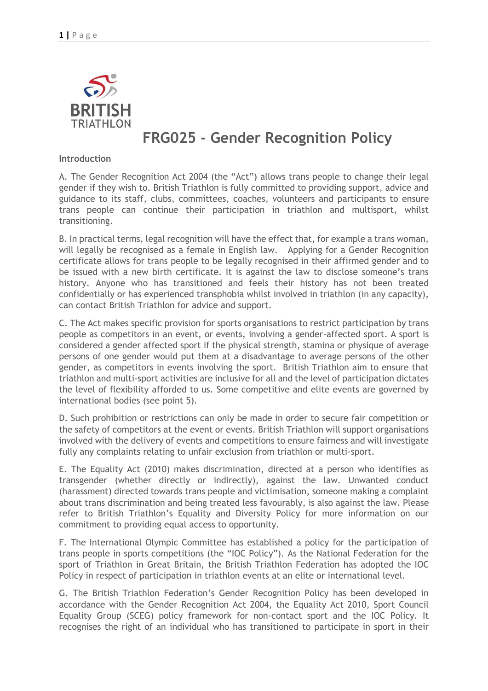

# **FRG025 - Gender Recognition Policy**

#### **Introduction**

A. The Gender Recognition Act 2004 (the "Act") allows trans people to change their legal gender if they wish to. British Triathlon is fully committed to providing support, advice and guidance to its staff, clubs, committees, coaches, volunteers and participants to ensure trans people can continue their participation in triathlon and multisport, whilst transitioning.

B. In practical terms, legal recognition will have the effect that, for example a trans woman, will legally be recognised as a female in English law. Applying for a Gender Recognition certificate allows for trans people to be legally recognised in their affirmed gender and to be issued with a new birth certificate. It is against the law to disclose someone's trans history. Anyone who has transitioned and feels their history has not been treated confidentially or has experienced transphobia whilst involved in triathlon (in any capacity), can contact British Triathlon for advice and support.

C. The Act makes specific provision for sports organisations to restrict participation by trans people as competitors in an event, or events, involving a gender-affected sport. A sport is considered a gender affected sport if the physical strength, stamina or physique of average persons of one gender would put them at a disadvantage to average persons of the other gender, as competitors in events involving the sport. British Triathlon aim to ensure that triathlon and multi-sport activities are inclusive for all and the level of participation dictates the level of flexibility afforded to us. Some competitive and elite events are governed by international bodies (see point 5).

D. Such prohibition or restrictions can only be made in order to secure fair competition or the safety of competitors at the event or events. British Triathlon will support organisations involved with the delivery of events and competitions to ensure fairness and will investigate fully any complaints relating to unfair exclusion from triathlon or multi-sport.

E. The Equality Act (2010) makes discrimination, directed at a person who identifies as transgender (whether directly or indirectly), against the law. Unwanted conduct (harassment) directed towards trans people and victimisation, someone making a complaint about trans discrimination and being treated less favourably, is also against the law. Please refer to British Triathlon's Equality and Diversity Policy for more information on our commitment to providing equal access to opportunity.

F. The International Olympic Committee has established a policy for the participation of trans people in sports competitions (the "IOC Policy"). As the National Federation for the sport of Triathlon in Great Britain, the British Triathlon Federation has adopted the IOC Policy in respect of participation in triathlon events at an elite or international level.

G. The British Triathlon Federation's Gender Recognition Policy has been developed in accordance with the Gender Recognition Act 2004, the Equality Act 2010, Sport Council Equality Group (SCEG) policy framework for non-contact sport and the IOC Policy. It recognises the right of an individual who has transitioned to participate in sport in their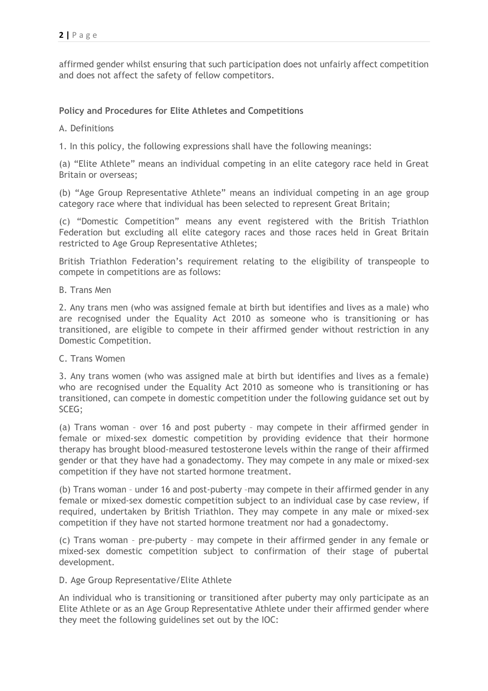affirmed gender whilst ensuring that such participation does not unfairly affect competition and does not affect the safety of fellow competitors.

# **Policy and Procedures for Elite Athletes and Competitions**

## A. Definitions

1. In this policy, the following expressions shall have the following meanings:

(a) "Elite Athlete" means an individual competing in an elite category race held in Great Britain or overseas;

(b) "Age Group Representative Athlete" means an individual competing in an age group category race where that individual has been selected to represent Great Britain;

(c) "Domestic Competition" means any event registered with the British Triathlon Federation but excluding all elite category races and those races held in Great Britain restricted to Age Group Representative Athletes;

British Triathlon Federation's requirement relating to the eligibility of transpeople to compete in competitions are as follows:

B. Trans Men

2. Any trans men (who was assigned female at birth but identifies and lives as a male) who are recognised under the Equality Act 2010 as someone who is transitioning or has transitioned, are eligible to compete in their affirmed gender without restriction in any Domestic Competition.

#### C. Trans Women

3. Any trans women (who was assigned male at birth but identifies and lives as a female) who are recognised under the Equality Act 2010 as someone who is transitioning or has transitioned, can compete in domestic competition under the following guidance set out by SCEG;

(a) Trans woman – over 16 and post puberty – may compete in their affirmed gender in female or mixed-sex domestic competition by providing evidence that their hormone therapy has brought blood-measured testosterone levels within the range of their affirmed gender or that they have had a gonadectomy. They may compete in any male or mixed-sex competition if they have not started hormone treatment.

(b) Trans woman – under 16 and post-puberty –may compete in their affirmed gender in any female or mixed-sex domestic competition subject to an individual case by case review, if required, undertaken by British Triathlon. They may compete in any male or mixed-sex competition if they have not started hormone treatment nor had a gonadectomy.

(c) Trans woman – pre-puberty – may compete in their affirmed gender in any female or mixed-sex domestic competition subject to confirmation of their stage of pubertal development.

#### D. Age Group Representative/Elite Athlete

An individual who is transitioning or transitioned after puberty may only participate as an Elite Athlete or as an Age Group Representative Athlete under their affirmed gender where they meet the following guidelines set out by the IOC: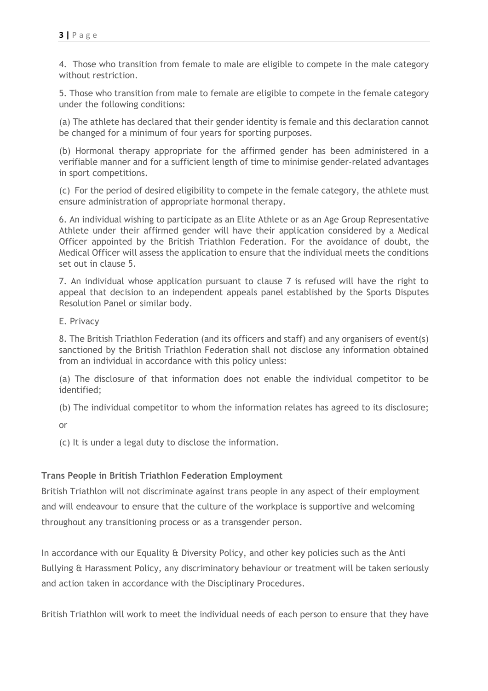4. Those who transition from female to male are eligible to compete in the male category without restriction.

5. Those who transition from male to female are eligible to compete in the female category under the following conditions:

(a) The athlete has declared that their gender identity is female and this declaration cannot be changed for a minimum of four years for sporting purposes.

(b) Hormonal therapy appropriate for the affirmed gender has been administered in a verifiable manner and for a sufficient length of time to minimise gender-related advantages in sport competitions.

(c) For the period of desired eligibility to compete in the female category, the athlete must ensure administration of appropriate hormonal therapy.

6. An individual wishing to participate as an Elite Athlete or as an Age Group Representative Athlete under their affirmed gender will have their application considered by a Medical Officer appointed by the British Triathlon Federation. For the avoidance of doubt, the Medical Officer will assess the application to ensure that the individual meets the conditions set out in clause 5.

7. An individual whose application pursuant to clause 7 is refused will have the right to appeal that decision to an independent appeals panel established by the Sports Disputes Resolution Panel or similar body.

E. Privacy

8. The British Triathlon Federation (and its officers and staff) and any organisers of event(s) sanctioned by the British Triathlon Federation shall not disclose any information obtained from an individual in accordance with this policy unless:

(a) The disclosure of that information does not enable the individual competitor to be identified;

(b) The individual competitor to whom the information relates has agreed to its disclosure;

or

(c) It is under a legal duty to disclose the information.

## **Trans People in British Triathlon Federation Employment**

British Triathlon will not discriminate against trans people in any aspect of their employment and will endeavour to ensure that the culture of the workplace is supportive and welcoming throughout any transitioning process or as a transgender person.

In accordance with our Equality & Diversity Policy, and other key policies such as the Anti Bullying & Harassment Policy, any discriminatory behaviour or treatment will be taken seriously and action taken in accordance with the Disciplinary Procedures.

British Triathlon will work to meet the individual needs of each person to ensure that they have